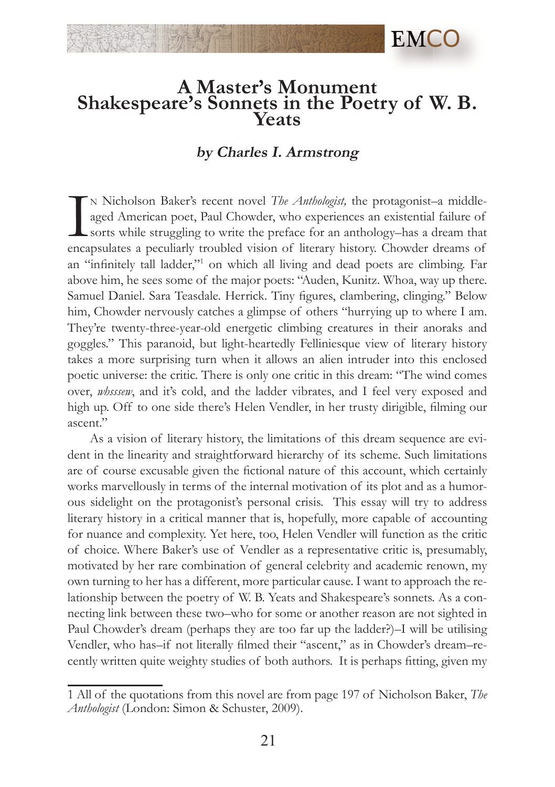

# **A Master's Monument Shakespeare's Sonnets in the Poetry of W. B. Yeats**

## **by Charles I. Armstrong**

IN Nicholson Baker's recent novel *The Anthologist*, the protagonist-a middle-<br>aged American poet, Paul Chowder, who experiences an existential failure of<br>sorts while struggling to write the preface for an anthology-has a n Nicholson Baker's recent novel *The Anthologist,* the protagonist–a middleaged American poet, Paul Chowder, who experiences an existential failure of sorts while struggling to write the preface for an anthology–has a dream that an "infinitely tall ladder,"<sup>1</sup> on which all living and dead poets are climbing. Far above him, he sees some of the major poets: "Auden, Kunitz. Whoa, way up there. Samuel Daniel. Sara Teasdale. Herrick. Tiny figures, clambering, clinging." Below him, Chowder nervously catches a glimpse of others "hurrying up to where I am. They're twenty-three-year-old energetic climbing creatures in their anoraks and goggles." This paranoid, but light-heartedly Felliniesque view of literary history takes a more surprising turn when it allows an alien intruder into this enclosed poetic universe: the critic. There is only one critic in this dream: "The wind comes over, *whsssew*, and it's cold, and the ladder vibrates, and I feel very exposed and high up. Off to one side there's Helen Vendler, in her trusty dirigible, filming our ascent."

As a vision of literary history, the limitations of this dream sequence are evident in the linearity and straightforward hierarchy of its scheme. Such limitations are of course excusable given the fictional nature of this account, which certainly works marvellously in terms of the internal motivation of its plot and as a humorous sidelight on the protagonist's personal crisis. This essay will try to address literary history in a critical manner that is, hopefully, more capable of accounting for nuance and complexity. Yet here, too, Helen Vendler will function as the critic of choice. Where Baker's use of Vendler as a representative critic is, presumably, motivated by her rare combination of general celebrity and academic renown, my own turning to her has a different, more particular cause. I want to approach the relationship between the poetry of W. B. Yeats and Shakespeare's sonnets. As a connecting link between these two–who for some or another reason are not sighted in Paul Chowder's dream (perhaps they are too far up the ladder?)–I will be utilising Vendler, who has–if not literally filmed their "ascent," as in Chowder's dream–recently written quite weighty studies of both authors. It is perhaps fitting, given my

<sup>1</sup> All of the quotations from this novel are from page 197 of Nicholson Baker, *The Anthologist* (London: Simon & Schuster, 2009).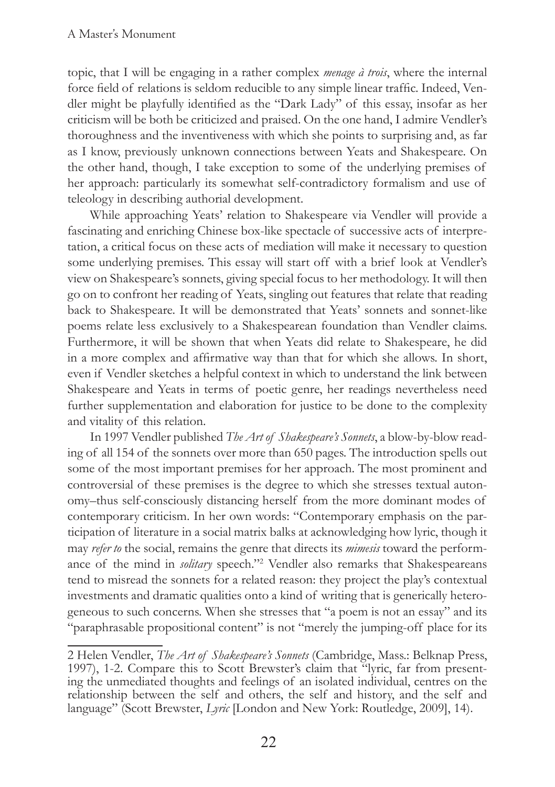topic, that I will be engaging in a rather complex *menage à trois*, where the internal force field of relations is seldom reducible to any simple linear traffic. Indeed, Vendler might be playfully identified as the "Dark Lady" of this essay, insofar as her criticism will be both be criticized and praised. On the one hand, I admire Vendler's thoroughness and the inventiveness with which she points to surprising and, as far as I know, previously unknown connections between Yeats and Shakespeare. On the other hand, though, I take exception to some of the underlying premises of her approach: particularly its somewhat self-contradictory formalism and use of teleology in describing authorial development.

While approaching Yeats' relation to Shakespeare via Vendler will provide a fascinating and enriching Chinese box-like spectacle of successive acts of interpretation, a critical focus on these acts of mediation will make it necessary to question some underlying premises. This essay will start off with a brief look at Vendler's view on Shakespeare's sonnets, giving special focus to her methodology. It will then go on to confront her reading of Yeats, singling out features that relate that reading back to Shakespeare. It will be demonstrated that Yeats' sonnets and sonnet-like poems relate less exclusively to a Shakespearean foundation than Vendler claims. Furthermore, it will be shown that when Yeats did relate to Shakespeare, he did in a more complex and affirmative way than that for which she allows. In short, even if Vendler sketches a helpful context in which to understand the link between Shakespeare and Yeats in terms of poetic genre, her readings nevertheless need further supplementation and elaboration for justice to be done to the complexity and vitality of this relation.

In 1997 Vendler published *The Art of Shakespeare's Sonnets*, a blow-by-blow reading of all 154 of the sonnets over more than 650 pages. The introduction spells out some of the most important premises for her approach. The most prominent and controversial of these premises is the degree to which she stresses textual autonomy–thus self-consciously distancing herself from the more dominant modes of contemporary criticism. In her own words: "Contemporary emphasis on the participation of literature in a social matrix balks at acknowledging how lyric, though it may *refer to* the social, remains the genre that directs its *mimesis* toward the performance of the mind in *solitary* speech."<sup>2</sup> Vendler also remarks that Shakespeareans tend to misread the sonnets for a related reason: they project the play's contextual investments and dramatic qualities onto a kind of writing that is generically heterogeneous to such concerns. When she stresses that "a poem is not an essay" and its "paraphrasable propositional content" is not "merely the jumping-off place for its

<sup>2</sup> Helen Vendler, *The Art of Shakespeare's Sonnets* (Cambridge, Mass.: Belknap Press, 1997), 1-2. Compare this to Scott Brewster's claim that "lyric, far from presenting the unmediated thoughts and feelings of an isolated individual, centres on the relationship between the self and others, the self and history, and the self and language" (Scott Brewster, *Lyric* [London and New York: Routledge, 2009], 14).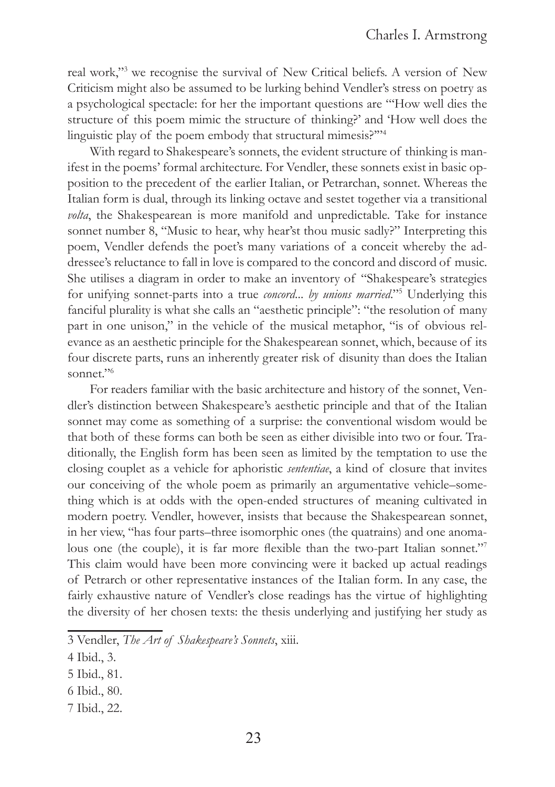real work,"<sup>3</sup> we recognise the survival of New Critical beliefs. A version of New Criticism might also be assumed to be lurking behind Vendler's stress on poetry as a psychological spectacle: for her the important questions are "'How well dies the structure of this poem mimic the structure of thinking?' and 'How well does the linguistic play of the poem embody that structural mimesis?'"<sup>4</sup>

With regard to Shakespeare's sonnets, the evident structure of thinking is manifest in the poems' formal architecture. For Vendler, these sonnets exist in basic opposition to the precedent of the earlier Italian, or Petrarchan, sonnet. Whereas the Italian form is dual, through its linking octave and sestet together via a transitional *volta*, the Shakespearean is more manifold and unpredictable. Take for instance sonnet number 8, "Music to hear, why hear'st thou music sadly?" Interpreting this poem, Vendler defends the poet's many variations of a conceit whereby the addressee's reluctance to fall in love is compared to the concord and discord of music. She utilises a diagram in order to make an inventory of "Shakespeare's strategies for unifying sonnet-parts into a true *concord*... *by unions married*."<sup>5</sup> Underlying this fanciful plurality is what she calls an "aesthetic principle": "the resolution of many part in one unison," in the vehicle of the musical metaphor, "is of obvious relevance as an aesthetic principle for the Shakespearean sonnet, which, because of its four discrete parts, runs an inherently greater risk of disunity than does the Italian sonnet<sup>"6</sup>

For readers familiar with the basic architecture and history of the sonnet, Vendler's distinction between Shakespeare's aesthetic principle and that of the Italian sonnet may come as something of a surprise: the conventional wisdom would be that both of these forms can both be seen as either divisible into two or four. Traditionally, the English form has been seen as limited by the temptation to use the closing couplet as a vehicle for aphoristic *sententiae*, a kind of closure that invites our conceiving of the whole poem as primarily an argumentative vehicle–something which is at odds with the open-ended structures of meaning cultivated in modern poetry. Vendler, however, insists that because the Shakespearean sonnet, in her view, "has four parts–three isomorphic ones (the quatrains) and one anomalous one (the couple), it is far more flexible than the two-part Italian sonnet."<sup>7</sup> This claim would have been more convincing were it backed up actual readings of Petrarch or other representative instances of the Italian form. In any case, the fairly exhaustive nature of Vendler's close readings has the virtue of highlighting the diversity of her chosen texts: the thesis underlying and justifying her study as

- 6 Ibid., 80.
- 7 Ibid., 22.

<sup>3</sup> Vendler, *The Art of Shakespeare's Sonnets*, xiii.

<sup>4</sup> Ibid., 3.

<sup>5</sup> Ibid., 81.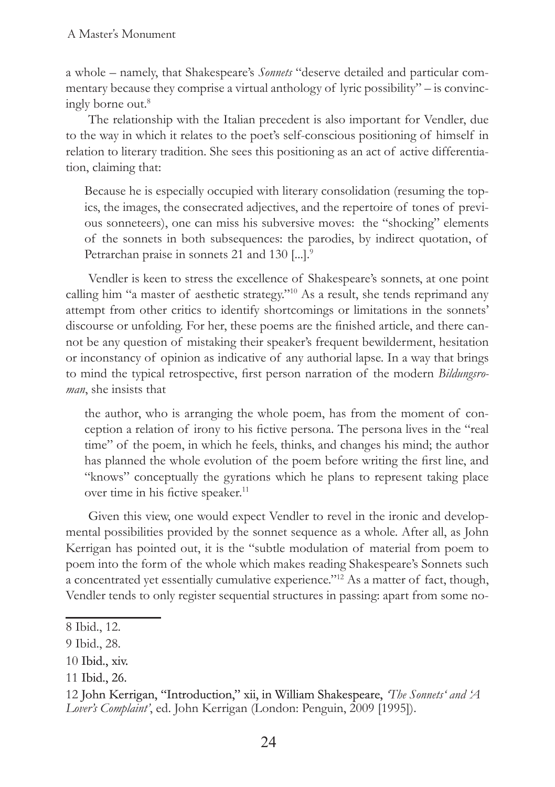a whole – namely, that Shakespeare's *Sonnets* "deserve detailed and particular commentary because they comprise a virtual anthology of lyric possibility" – is convincingly borne out.<sup>8</sup>

The relationship with the Italian precedent is also important for Vendler, due to the way in which it relates to the poet's self-conscious positioning of himself in relation to literary tradition. She sees this positioning as an act of active differentiation, claiming that:

Because he is especially occupied with literary consolidation (resuming the topics, the images, the consecrated adjectives, and the repertoire of tones of previous sonneteers), one can miss his subversive moves: the "shocking" elements of the sonnets in both subsequences: the parodies, by indirect quotation, of Petrarchan praise in sonnets 21 and 130 [...].<sup>9</sup>

Vendler is keen to stress the excellence of Shakespeare's sonnets, at one point calling him "a master of aesthetic strategy."10 As a result, she tends reprimand any attempt from other critics to identify shortcomings or limitations in the sonnets' discourse or unfolding. For her, these poems are the finished article, and there cannot be any question of mistaking their speaker's frequent bewilderment, hesitation or inconstancy of opinion as indicative of any authorial lapse. In a way that brings to mind the typical retrospective, first person narration of the modern *Bildungsroman*, she insists that

the author, who is arranging the whole poem, has from the moment of conception a relation of irony to his fictive persona. The persona lives in the "real time" of the poem, in which he feels, thinks, and changes his mind; the author has planned the whole evolution of the poem before writing the first line, and "knows" conceptually the gyrations which he plans to represent taking place over time in his fictive speaker.<sup>11</sup>

Given this view, one would expect Vendler to revel in the ironic and developmental possibilities provided by the sonnet sequence as a whole. After all, as John Kerrigan has pointed out, it is the "subtle modulation of material from poem to poem into the form of the whole which makes reading Shakespeare's Sonnets such a concentrated yet essentially cumulative experience."12 As a matter of fact, though, Vendler tends to only register sequential structures in passing: apart from some no-

<sup>8</sup> Ibid., 12.

<sup>9</sup> Ibid., 28.

 $10$  Ibid., xiv.

<sup>11</sup> Ibid., 26. 26.

<sup>12</sup> John Kerrigan, "Introduction," xii, in William Shakespeare, The Sonnets' and 'A *Lover's Complaint'*, ed. John Kerrigan (London: Penguin, 2009 [1995]).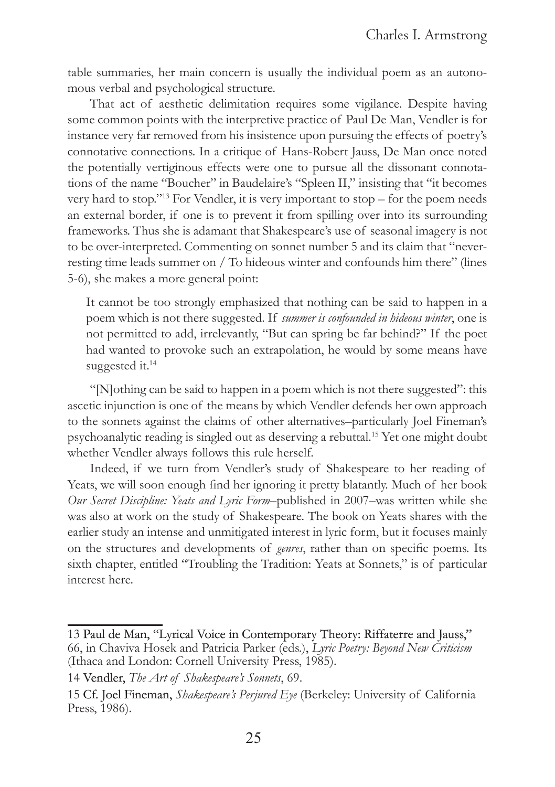table summaries, her main concern is usually the individual poem as an autonomous verbal and psychological structure.

That act of aesthetic delimitation requires some vigilance. Despite having some common points with the interpretive practice of Paul De Man, Vendler is for instance very far removed from his insistence upon pursuing the effects of poetry's connotative connections. In a critique of Hans-Robert Jauss, De Man once noted the potentially vertiginous effects were one to pursue all the dissonant connotations of the name "Boucher" in Baudelaire's "Spleen II," insisting that "it becomes very hard to stop."13 For Vendler, it is very important to stop – for the poem needs an external border, if one is to prevent it from spilling over into its surrounding frameworks. Thus she is adamant that Shakespeare's use of seasonal imagery is not to be over-interpreted. Commenting on sonnet number 5 and its claim that "neverresting time leads summer on / To hideous winter and confounds him there" (lines 5-6), she makes a more general point:

It cannot be too strongly emphasized that nothing can be said to happen in a poem which is not there suggested. If *summer is confounded in hideous winter*, one is not permitted to add, irrelevantly, "But can spring be far behind?" If the poet had wanted to provoke such an extrapolation, he would by some means have suggested it.<sup>14</sup>

"[N]othing can be said to happen in a poem which is not there suggested": this ascetic injunction is one of the means by which Vendler defends her own approach to the sonnets against the claims of other alternatives–particularly Joel Fineman's psychoanalytic reading is singled out as deserving a rebuttal.15 Yet one might doubt whether Vendler always follows this rule herself.

Indeed, if we turn from Vendler's study of Shakespeare to her reading of Yeats, we will soon enough find her ignoring it pretty blatantly. Much of her book *Our Secret Discipline: Yeats and Lyric Form*–published in 2007–was written while she was also at work on the study of Shakespeare. The book on Yeats shares with the earlier study an intense and unmitigated interest in lyric form, but it focuses mainly on the structures and developments of *genres*, rather than on specific poems. Its sixth chapter, entitled "Troubling the Tradition: Yeats at Sonnets," is of particular interest here.

<sup>13</sup> Paul de Man, "Lyrical Voice in Contemporary Theory: Riffaterre and Jauss," 66, in Chaviva Hosek and Patricia Parker (eds.), *Lyric Poetry: Beyond New Criticism* (Ithaca and London: Cornell University Press, 1985).

<sup>14</sup> Vendler, *The Art of Shakespeare's Sonnets*, 69.

Cf. Joel Fineman, *Shakespeare's Perjured Eye* (Berkeley: University of California Press, 1986).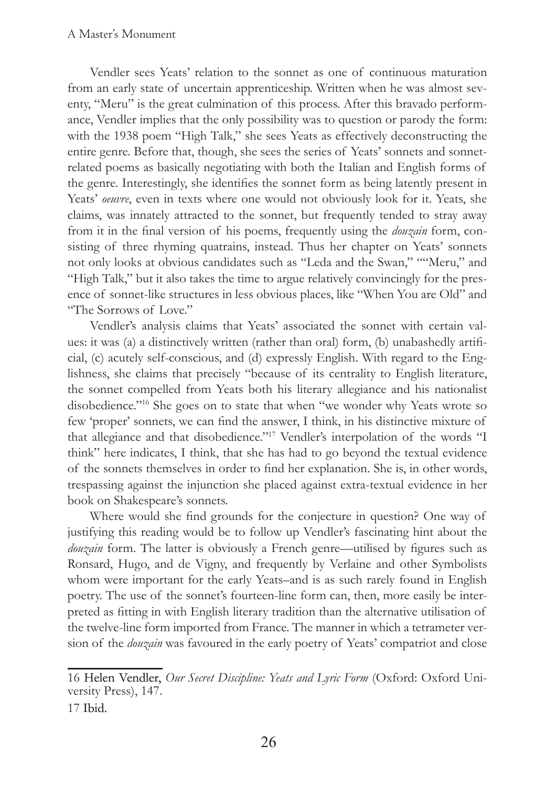Vendler sees Yeats' relation to the sonnet as one of continuous maturation from an early state of uncertain apprenticeship. Written when he was almost seventy, "Meru" is the great culmination of this process. After this bravado performance, Vendler implies that the only possibility was to question or parody the form: with the 1938 poem "High Talk," she sees Yeats as effectively deconstructing the entire genre. Before that, though, she sees the series of Yeats' sonnets and sonnetrelated poems as basically negotiating with both the Italian and English forms of the genre. Interestingly, she identifies the sonnet form as being latently present in Yeats' *oeuvre*, even in texts where one would not obviously look for it. Yeats, she claims, was innately attracted to the sonnet, but frequently tended to stray away from it in the final version of his poems, frequently using the *douzain* form, consisting of three rhyming quatrains, instead. Thus her chapter on Yeats' sonnets not only looks at obvious candidates such as "Leda and the Swan," ""Meru," and "High Talk," but it also takes the time to argue relatively convincingly for the presence of sonnet-like structures in less obvious places, like "When You are Old" and "The Sorrows of Love."

Vendler's analysis claims that Yeats' associated the sonnet with certain values: it was (a) a distinctively written (rather than oral) form, (b) unabashedly artificial, (c) acutely self-conscious, and (d) expressly English. With regard to the Englishness, she claims that precisely "because of its centrality to English literature, the sonnet compelled from Yeats both his literary allegiance and his nationalist disobedience."16 She goes on to state that when "we wonder why Yeats wrote so few 'proper' sonnets, we can find the answer, I think, in his distinctive mixture of that allegiance and that disobedience."17 Vendler's interpolation of the words "I think" here indicates, I think, that she has had to go beyond the textual evidence of the sonnets themselves in order to find her explanation. She is, in other words, trespassing against the injunction she placed against extra-textual evidence in her book on Shakespeare's sonnets.

Where would she find grounds for the conjecture in question? One way of justifying this reading would be to follow up Vendler's fascinating hint about the *douzain* form. The latter is obviously a French genre––utilised by figures such as Ronsard, Hugo, and de Vigny, and frequently by Verlaine and other Symbolists whom were important for the early Yeats–and is as such rarely found in English poetry. The use of the sonnet's fourteen-line form can, then, more easily be interpreted as fitting in with English literary tradition than the alternative utilisation of the twelve-line form imported from France. The manner in which a tetrameter version of the *douzain* was favoured in the early poetry of Yeats' compatriot and close

<sup>16</sup> Helen Vendler, *Our Secret Discipline: Yeats and Lyric Form* (Oxford: Oxford University Press), 147.

<sup>17</sup> Ibid.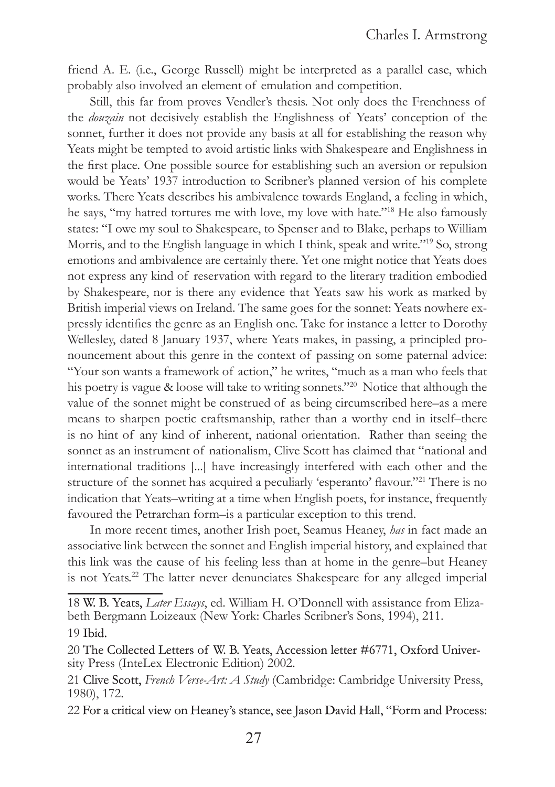friend A. E. (i.e., George Russell) might be interpreted as a parallel case, which probably also involved an element of emulation and competition.

Still, this far from proves Vendler's thesis. Not only does the Frenchness of the *douzain* not decisively establish the Englishness of Yeats' conception of the sonnet, further it does not provide any basis at all for establishing the reason why Yeats might be tempted to avoid artistic links with Shakespeare and Englishness in the first place. One possible source for establishing such an aversion or repulsion would be Yeats' 1937 introduction to Scribner's planned version of his complete works. There Yeats describes his ambivalence towards England, a feeling in which, he says, "my hatred tortures me with love, my love with hate."18 He also famously states: "I owe my soul to Shakespeare, to Spenser and to Blake, perhaps to William Morris, and to the English language in which I think, speak and write."19 So, strong emotions and ambivalence are certainly there. Yet one might notice that Yeats does not express any kind of reservation with regard to the literary tradition embodied by Shakespeare, nor is there any evidence that Yeats saw his work as marked by British imperial views on Ireland. The same goes for the sonnet: Yeats nowhere expressly identifies the genre as an English one. Take for instance a letter to Dorothy Wellesley, dated 8 January 1937, where Yeats makes, in passing, a principled pronouncement about this genre in the context of passing on some paternal advice: "Your son wants a framework of action," he writes, "much as a man who feels that his poetry is vague & loose will take to writing sonnets."<sup>20</sup> Notice that although the value of the sonnet might be construed of as being circumscribed here–as a mere means to sharpen poetic craftsmanship, rather than a worthy end in itself–there is no hint of any kind of inherent, national orientation. Rather than seeing the sonnet as an instrument of nationalism, Clive Scott has claimed that "national and international traditions [...] have increasingly interfered with each other and the structure of the sonnet has acquired a peculiarly 'esperanto' flavour."21 There is no indication that Yeats–writing at a time when English poets, for instance, frequently favoured the Petrarchan form–is a particular exception to this trend.

In more recent times, another Irish poet, Seamus Heaney, *has* in fact made an associative link between the sonnet and English imperial history, and explained that this link was the cause of his feeling less than at home in the genre–but Heaney is not Yeats.<sup>22</sup> The latter never denunciates Shakespeare for any alleged imperial

22 For a critical view on Heaney's stance, see Jason David Hall, "Form and Process:

<sup>18</sup> W. B. Yeats, *Later Essays*, ed. William H. O'Donnell with assistance from Eliza- beth Bergmann Loizeaux (New York: Charles Scribner's Sons, 1994), 211. 19 Ibid.

The Collected Letters of W. B. Yeats, Accession letter �6771, Oxford University Press (InteLex Electronic Edition) 2002.

<sup>21</sup> Clive Scott, *French Verse-Art: A Study* (Cambridge: Cambridge University Press, 1980), 172.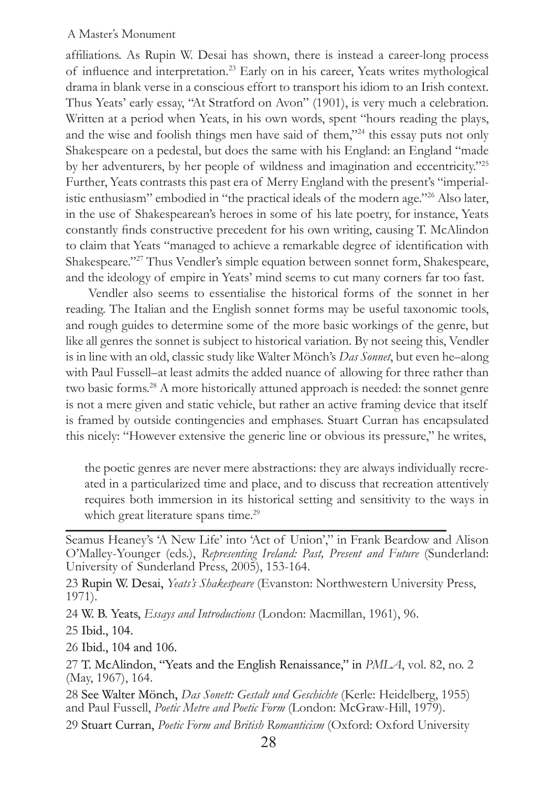affiliations. As Rupin W. Desai has shown, there is instead a career-long process of influence and interpretation.23 Early on in his career, Yeats writes mythological drama in blank verse in a conscious effort to transport his idiom to an Irish context. Thus Yeats' early essay, "At Stratford on Avon" (1901), is very much a celebration. Written at a period when Yeats, in his own words, spent "hours reading the plays, and the wise and foolish things men have said of them,"24 this essay puts not only Shakespeare on a pedestal, but does the same with his England: an England "made by her adventurers, by her people of wildness and imagination and eccentricity."<sup>25</sup> Further, Yeats contrasts this past era of Merry England with the present's "imperialistic enthusiasm" embodied in "the practical ideals of the modern age."26 Also later, in the use of Shakespearean's heroes in some of his late poetry, for instance, Yeats constantly finds constructive precedent for his own writing, causing T. McAlindon to claim that Yeats "managed to achieve a remarkable degree of identification with Shakespeare."27 Thus Vendler's simple equation between sonnet form, Shakespeare, and the ideology of empire in Yeats' mind seems to cut many corners far too fast.

Vendler also seems to essentialise the historical forms of the sonnet in her reading. The Italian and the English sonnet forms may be useful taxonomic tools, and rough guides to determine some of the more basic workings of the genre, but like all genres the sonnet is subject to historical variation. By not seeing this, Vendler is in line with an old, classic study like Walter Mönch's *Das Sonnet*, but even he–along with Paul Fussell–at least admits the added nuance of allowing for three rather than two basic forms.<sup>28</sup> A more historically attuned approach is needed: the sonnet genre is not a mere given and static vehicle, but rather an active framing device that itself is framed by outside contingencies and emphases. Stuart Curran has encapsulated this nicely: "However extensive the generic line or obvious its pressure," he writes,

the poetic genres are never mere abstractions: they are always individually recreated in a particularized time and place, and to discuss that recreation attentively requires both immersion in its historical setting and sensitivity to the ways in which great literature spans time.<sup>29</sup>

23 Rupin W. Desai, *Yeats's Shakespeare* (Evanston: Northwestern University Press, 1971).

24 W. B. Yeats, *Essays and Introductions* (London: Macmillan, 1961), 96.

25 Ibid., 104. 104.

26 Ibid., 104 and 106.

 T. McAlindon, "Yeats and the English Renaissance," in *PMLA*, vol. 82, no. 2 (May, 1967), 164.

28 See Walter Mönch, *Das Sonett: Gestalt und Geschichte* (Kerle: Heidelberg, 1955) and Paul Fussell, *Poetic Metre and Poetic Form* (London: McGraw-Hill, 1979).

29 Stuart Curran, *Poetic Form and British Romanticism* (Oxford: Oxford University

Seamus Heaney's 'A New Life' into 'Act of Union'," in Frank Beardow and Alison O'Malley-Younger (eds.), *Representing Ireland: Past, Present and Future* (Sunderland: University of Sunderland Press, 2005), 153-164.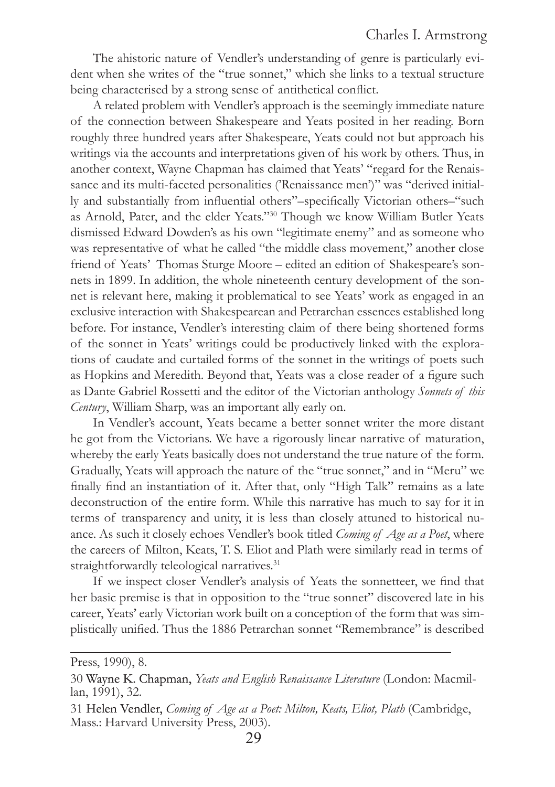The ahistoric nature of Vendler's understanding of genre is particularly evident when she writes of the "true sonnet," which she links to a textual structure being characterised by a strong sense of antithetical conflict.

A related problem with Vendler's approach is the seemingly immediate nature of the connection between Shakespeare and Yeats posited in her reading. Born roughly three hundred years after Shakespeare, Yeats could not but approach his writings via the accounts and interpretations given of his work by others. Thus, in another context, Wayne Chapman has claimed that Yeats' "regard for the Renaissance and its multi-faceted personalities ('Renaissance men')" was "derived initially and substantially from influential others"–specifically Victorian others–"such as Arnold, Pater, and the elder Yeats."30 Though we know William Butler Yeats dismissed Edward Dowden's as his own "legitimate enemy" and as someone who was representative of what he called "the middle class movement," another close friend of Yeats' Thomas Sturge Moore – edited an edition of Shakespeare's sonnets in 1899. In addition, the whole nineteenth century development of the sonnet is relevant here, making it problematical to see Yeats' work as engaged in an exclusive interaction with Shakespearean and Petrarchan essences established long before. For instance, Vendler's interesting claim of there being shortened forms of the sonnet in Yeats' writings could be productively linked with the explorations of caudate and curtailed forms of the sonnet in the writings of poets such as Hopkins and Meredith. Beyond that, Yeats was a close reader of a figure such as Dante Gabriel Rossetti and the editor of the Victorian anthology *Sonnets of this Century*, William Sharp, was an important ally early on.

In Vendler's account, Yeats became a better sonnet writer the more distant he got from the Victorians. We have a rigorously linear narrative of maturation, whereby the early Yeats basically does not understand the true nature of the form. Gradually, Yeats will approach the nature of the "true sonnet," and in "Meru" we finally find an instantiation of it. After that, only "High Talk" remains as a late deconstruction of the entire form. While this narrative has much to say for it in terms of transparency and unity, it is less than closely attuned to historical nuance. As such it closely echoes Vendler's book titled *Coming of Age as a Poet*, where the careers of Milton, Keats, T. S. Eliot and Plath were similarly read in terms of straightforwardly teleological narratives.<sup>31</sup>

If we inspect closer Vendler's analysis of Yeats the sonnetteer, we find that her basic premise is that in opposition to the "true sonnet" discovered late in his career, Yeats' early Victorian work built on a conception of the form that was simplistically unified. Thus the 1886 Petrarchan sonnet "Remembrance" is described

Press, 1990), 8.

<sup>30</sup> Wayne K. Chapman, *Yeats and English Renaissance Literature* (London: Macmillan, 1991), 32.

<sup>31</sup> Helen Vendler, *Coming of Age as a Poet: Milton, Keats, Eliot, Plath* (Cambridge, Mass.: Harvard University Press, 2003).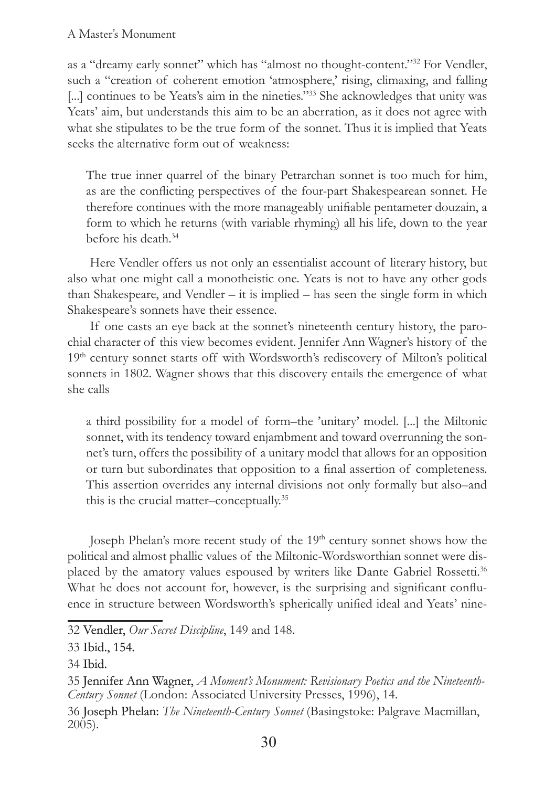as a "dreamy early sonnet" which has "almost no thought-content."32 For Vendler, such a "creation of coherent emotion 'atmosphere,' rising, climaxing, and falling [...] continues to be Yeats's aim in the nineties."<sup>33</sup> She acknowledges that unity was Yeats' aim, but understands this aim to be an aberration, as it does not agree with what she stipulates to be the true form of the sonnet. Thus it is implied that Yeats seeks the alternative form out of weakness:

The true inner quarrel of the binary Petrarchan sonnet is too much for him, as are the conflicting perspectives of the four-part Shakespearean sonnet. He therefore continues with the more manageably unifiable pentameter douzain, a form to which he returns (with variable rhyming) all his life, down to the year before his death <sup>34</sup>

Here Vendler offers us not only an essentialist account of literary history, but also what one might call a monotheistic one. Yeats is not to have any other gods than Shakespeare, and Vendler – it is implied – has seen the single form in which Shakespeare's sonnets have their essence.

If one casts an eye back at the sonnet's nineteenth century history, the parochial character of this view becomes evident. Jennifer Ann Wagner's history of the 19<sup>th</sup> century sonnet starts off with Wordsworth's rediscovery of Milton's political sonnets in 1802. Wagner shows that this discovery entails the emergence of what she calls

a third possibility for a model of form–the 'unitary' model. [...] the Miltonic sonnet, with its tendency toward enjambment and toward overrunning the sonnet's turn, offers the possibility of a unitary model that allows for an opposition or turn but subordinates that opposition to a final assertion of completeness. This assertion overrides any internal divisions not only formally but also–and this is the crucial matter–conceptually.35

Joseph Phelan's more recent study of the 19<sup>th</sup> century sonnet shows how the political and almost phallic values of the Miltonic-Wordsworthian sonnet were displaced by the amatory values espoused by writers like Dante Gabriel Rossetti.36 What he does not account for, however, is the surprising and significant confluence in structure between Wordsworth's spherically unified ideal and Yeats' nine-

<sup>32</sup> Vendler, *Our Secret Discipline*, 149 and 148.

<sup>33</sup> Ibid., 154. 154.

<sup>34</sup> Ibid.

Jennifer Ann Wagner, *A Moment's Monument: Revisionary Poetics and the Nineteenth-Century Sonnet* (London: Associated University Presses, 1996), 14.

Joseph Phelan: *The Nineteenth-Century Sonnet* (Basingstoke: Palgrave Macmillan, 2005).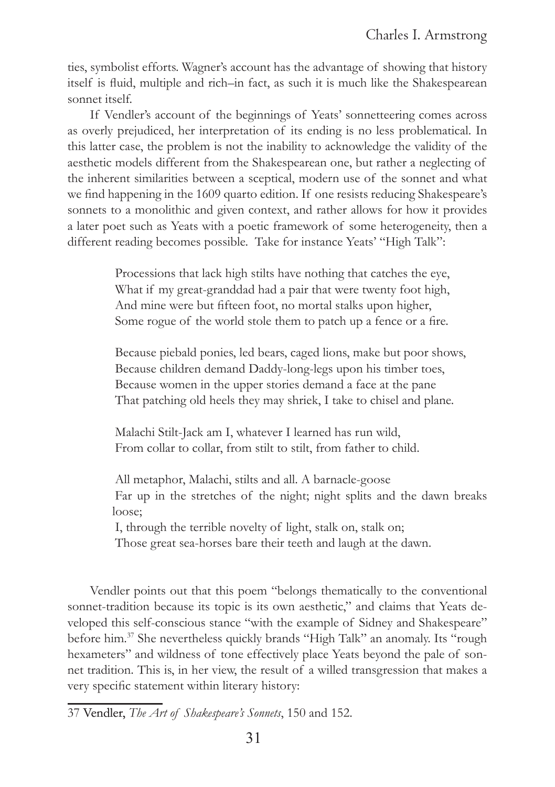ties, symbolist efforts. Wagner's account has the advantage of showing that history itself is fluid, multiple and rich–in fact, as such it is much like the Shakespearean sonnet itself.

If Vendler's account of the beginnings of Yeats' sonnetteering comes across as overly prejudiced, her interpretation of its ending is no less problematical. In this latter case, the problem is not the inability to acknowledge the validity of the aesthetic models different from the Shakespearean one, but rather a neglecting of the inherent similarities between a sceptical, modern use of the sonnet and what we find happening in the 1609 quarto edition. If one resists reducing Shakespeare's sonnets to a monolithic and given context, and rather allows for how it provides a later poet such as Yeats with a poetic framework of some heterogeneity, then a different reading becomes possible. Take for instance Yeats' "High Talk":

> Processions that lack high stilts have nothing that catches the eye, What if my great-granddad had a pair that were twenty foot high, And mine were but fifteen foot, no mortal stalks upon higher, Some rogue of the world stole them to patch up a fence or a fire.

Because piebald ponies, led bears, caged lions, make but poor shows, Because children demand Daddy-long-legs upon his timber toes, Because women in the upper stories demand a face at the pane That patching old heels they may shriek, I take to chisel and plane.

Malachi Stilt-Jack am I, whatever I learned has run wild, From collar to collar, from stilt to stilt, from father to child.

All metaphor, Malachi, stilts and all. A barnacle-goose Far up in the stretches of the night; night splits and the dawn breaks loose;

I, through the terrible novelty of light, stalk on, stalk on;

Those great sea-horses bare their teeth and laugh at the dawn.

Vendler points out that this poem "belongs thematically to the conventional sonnet-tradition because its topic is its own aesthetic," and claims that Yeats developed this self-conscious stance "with the example of Sidney and Shakespeare" before him.37 She nevertheless quickly brands "High Talk" an anomaly. Its "rough hexameters" and wildness of tone effectively place Yeats beyond the pale of sonnet tradition. This is, in her view, the result of a willed transgression that makes a very specific statement within literary history:

Vendler, *The Art of Shakespeare's Sonnets*, 150 and 152.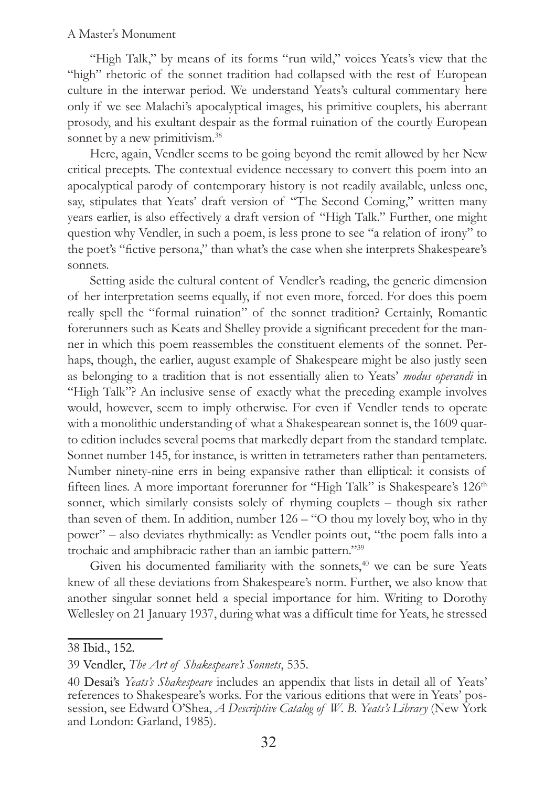"High Talk," by means of its forms "run wild," voices Yeats's view that the "high" rhetoric of the sonnet tradition had collapsed with the rest of European culture in the interwar period. We understand Yeats's cultural commentary here only if we see Malachi's apocalyptical images, his primitive couplets, his aberrant prosody, and his exultant despair as the formal ruination of the courtly European sonnet by a new primitivism.<sup>38</sup>

Here, again, Vendler seems to be going beyond the remit allowed by her New critical precepts. The contextual evidence necessary to convert this poem into an apocalyptical parody of contemporary history is not readily available, unless one, say, stipulates that Yeats' draft version of "The Second Coming," written many years earlier, is also effectively a draft version of "High Talk." Further, one might question why Vendler, in such a poem, is less prone to see "a relation of irony" to the poet's "fictive persona," than what's the case when she interprets Shakespeare's sonnets.

Setting aside the cultural content of Vendler's reading, the generic dimension of her interpretation seems equally, if not even more, forced. For does this poem really spell the "formal ruination" of the sonnet tradition? Certainly, Romantic forerunners such as Keats and Shelley provide a significant precedent for the manner in which this poem reassembles the constituent elements of the sonnet. Perhaps, though, the earlier, august example of Shakespeare might be also justly seen as belonging to a tradition that is not essentially alien to Yeats' *modus operandi* in "High Talk"? An inclusive sense of exactly what the preceding example involves would, however, seem to imply otherwise. For even if Vendler tends to operate with a monolithic understanding of what a Shakespearean sonnet is, the 1609 quarto edition includes several poems that markedly depart from the standard template. Sonnet number 145, for instance, is written in tetrameters rather than pentameters. Number ninety-nine errs in being expansive rather than elliptical: it consists of fifteen lines. A more important forerunner for "High Talk" is Shakespeare's  $126<sup>th</sup>$ sonnet, which similarly consists solely of rhyming couplets – though six rather than seven of them. In addition, number 126 – "O thou my lovely boy, who in thy power" – also deviates rhythmically: as Vendler points out, "the poem falls into a trochaic and amphibracic rather than an iambic pattern."39

Given his documented familiarity with the sonnets,<sup>40</sup> we can be sure Yeats knew of all these deviations from Shakespeare's norm. Further, we also know that another singular sonnet held a special importance for him. Writing to Dorothy Wellesley on 21 January 1937, during what was a difficult time for Yeats, he stressed

<sup>38</sup> Ibid., 152. 152.

Vendler, *The Art of Shakespeare's Sonnets*, 535.

<sup>40</sup> Desai's *Yeats's Shakespeare* includes an appendix that lists in detail all of Yeats' session, see Edward O'Shea, *A Descriptive Catalog of W. B. Yeats's Library* (New York and London: Garland, 1985).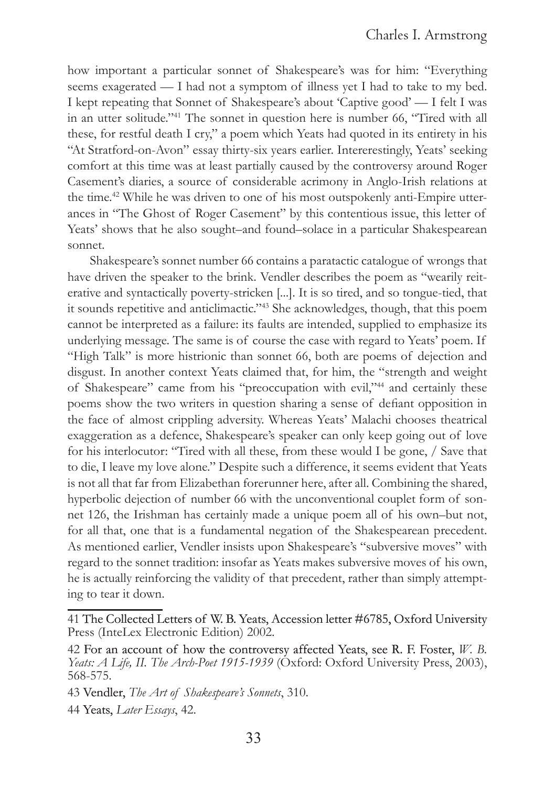how important a particular sonnet of Shakespeare's was for him: "Everything seems exagerated — I had not a symptom of illness yet I had to take to my bed. I kept repeating that Sonnet of Shakespeare's about 'Captive good' — I felt I was in an utter solitude."<sup>41</sup> The sonnet in question here is number 66, "Tired with all these, for restful death I cry," a poem which Yeats had quoted in its entirety in his "At Stratford-on-Avon" essay thirty-six years earlier. Intererestingly, Yeats' seeking comfort at this time was at least partially caused by the controversy around Roger Casement's diaries, a source of considerable acrimony in Anglo-Irish relations at the time.42 While he was driven to one of his most outspokenly anti-Empire utterances in "The Ghost of Roger Casement" by this contentious issue, this letter of Yeats' shows that he also sought–and found–solace in a particular Shakespearean sonnet.

Shakespeare's sonnet number 66 contains a paratactic catalogue of wrongs that have driven the speaker to the brink. Vendler describes the poem as "wearily reiterative and syntactically poverty-stricken [...]. It is so tired, and so tongue-tied, that it sounds repetitive and anticlimactic."43 She acknowledges, though, that this poem cannot be interpreted as a failure: its faults are intended, supplied to emphasize its underlying message. The same is of course the case with regard to Yeats' poem. If "High Talk" is more histrionic than sonnet 66, both are poems of dejection and disgust. In another context Yeats claimed that, for him, the "strength and weight of Shakespeare" came from his "preoccupation with evil,"44 and certainly these poems show the two writers in question sharing a sense of defiant opposition in the face of almost crippling adversity. Whereas Yeats' Malachi chooses theatrical exaggeration as a defence, Shakespeare's speaker can only keep going out of love for his interlocutor: "Tired with all these, from these would I be gone, / Save that to die, I leave my love alone." Despite such a difference, it seems evident that Yeats is not all that far from Elizabethan forerunner here, after all. Combining the shared, hyperbolic dejection of number 66 with the unconventional couplet form of sonnet 126, the Irishman has certainly made a unique poem all of his own–but not, for all that, one that is a fundamental negation of the Shakespearean precedent. As mentioned earlier, Vendler insists upon Shakespeare's "subversive moves" with regard to the sonnet tradition: insofar as Yeats makes subversive moves of his own, he is actually reinforcing the validity of that precedent, rather than simply attempting to tear it down.

<sup>41</sup> The Collected Letters of W. B. Yeats, Accession letter #6785, Oxford University Press (InteLex Electronic Edition) 2002.

<sup>42</sup> For an account of how the controversy affected Yeats, see R. F. Foster, *W. B. Yeats: A Life, II. The Arch-Poet 1915-1939* (Oxford: Oxford University Press, 2003), 568-575.

<sup>43</sup> Vendler, *The Art of Shakespeare's Sonnets*, 310.

<sup>44</sup> Yeats, *Later Essays*, 42.